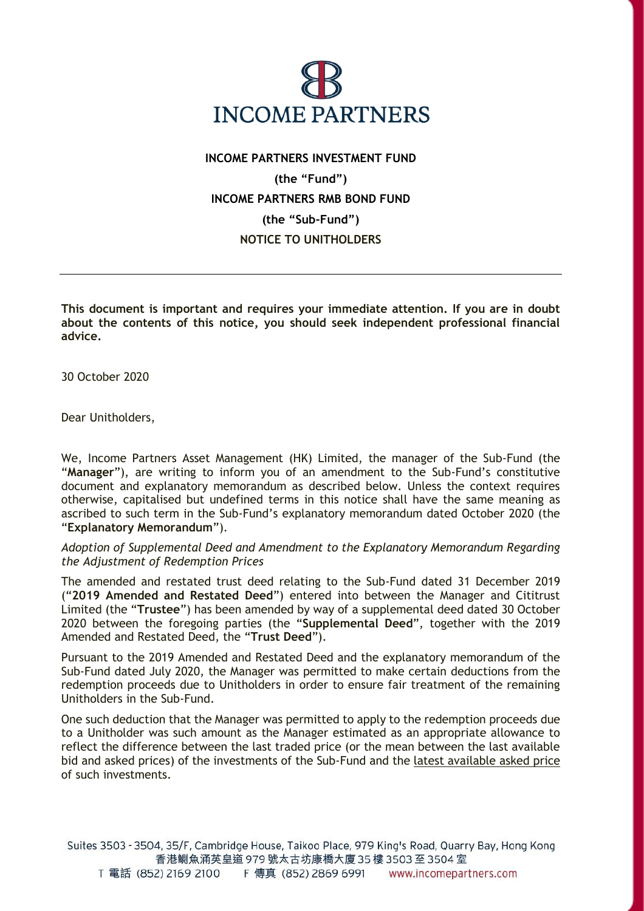

## **INCOME PARTNERS INVESTMENT FUND (the "Fund") INCOME PARTNERS RMB BOND FUND (the "Sub-Fund") NOTICE TO UNITHOLDERS**

**This document is important and requires your immediate attention. If you are in doubt about the contents of this notice, you should seek independent professional financial advice.**

30 October 2020

Dear Unitholders,

We, Income Partners Asset Management (HK) Limited, the manager of the Sub-Fund (the "**Manager**"), are writing to inform you of an amendment to the Sub-Fund's constitutive document and explanatory memorandum as described below. Unless the context requires otherwise, capitalised but undefined terms in this notice shall have the same meaning as ascribed to such term in the Sub-Fund's explanatory memorandum dated October 2020 (the "**Explanatory Memorandum**").

*Adoption of Supplemental Deed and Amendment to the Explanatory Memorandum Regarding the Adjustment of Redemption Prices*

The amended and restated trust deed relating to the Sub-Fund dated 31 December 2019 ("**2019 Amended and Restated Deed**") entered into between the Manager and Cititrust Limited (the "**Trustee**") has been amended by way of a supplemental deed dated 30 October 2020 between the foregoing parties (the "**Supplemental Deed**", together with the 2019 Amended and Restated Deed, the "**Trust Deed**").

Pursuant to the 2019 Amended and Restated Deed and the explanatory memorandum of the Sub-Fund dated July 2020, the Manager was permitted to make certain deductions from the redemption proceeds due to Unitholders in order to ensure fair treatment of the remaining Unitholders in the Sub-Fund.

One such deduction that the Manager was permitted to apply to the redemption proceeds due to a Unitholder was such amount as the Manager estimated as an appropriate allowance to reflect the difference between the last traded price (or the mean between the last available bid and asked prices) of the investments of the Sub-Fund and the latest available asked price of such investments.

Suites 3503 - 3504, 35/F, Cambridge House, Taikoo Place, 979 King's Road, Quarry Bay, Hong Kong 香港鰂魚涌英皇道 979 號太古坊康橋大廈 35 樓 3503 至 3504 室 T 電話 (852) 2169 2100 F 傳真 (852) 2869 6991 www.incomepartners.com